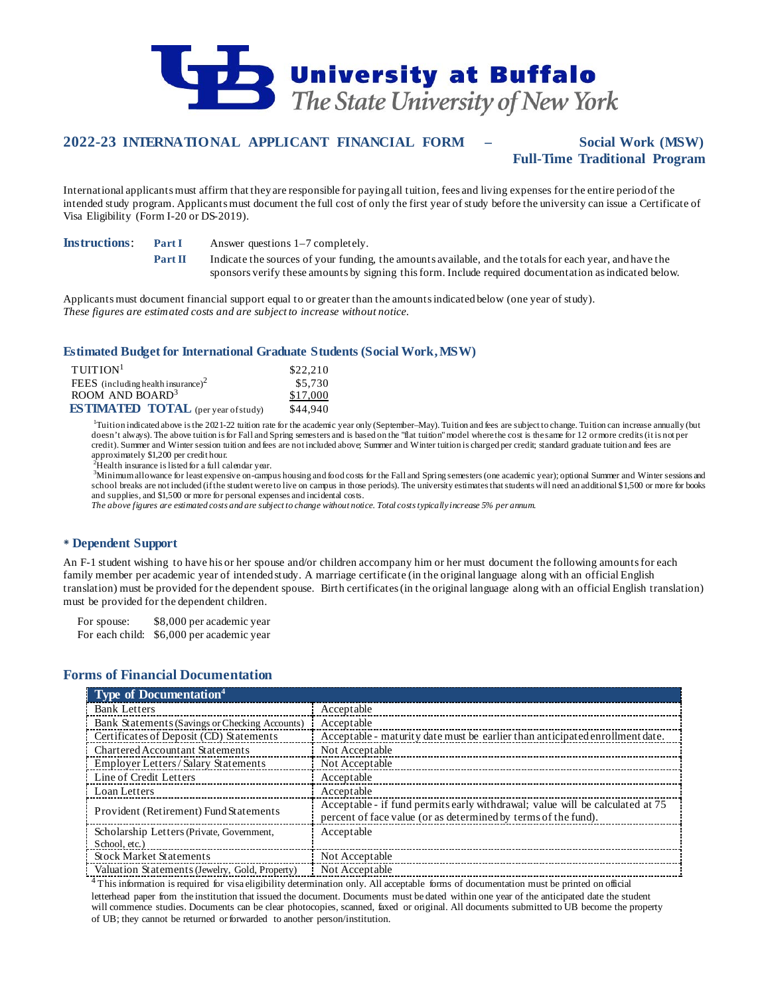

# **2022-23 INTERNATIONAL APPLICANT FINANCIAL FORM – Social Work (MSW) Full-Time Traditional Program**

International applicants must affirm that they are responsible for paying all tuition, fees and living expenses for the entire period of the intended study program. Applicants must document the full cost of only the first year of study before the university can issue a Certificate of Visa Eligibility (Form I-20 or DS-2019).

**Instructions: Part I** Answer questions 1–7 completely.

**Part II** Indicate the sources of your funding, the amounts available, and the totals for each year, and have the sponsors verify these amounts by signing this form. Include required documentation as indicated below.

Applicants must document financial support equal to or greater than the amounts indicated below (one year of study). *These figures are estimated costs and are subject to increase without notice.*

### **Estimated Budget for International Graduate Students (Social Work, MSW)**

| TUITION <sup>1</sup>                           | \$22,210 |
|------------------------------------------------|----------|
| FEES (including health insurance) <sup>2</sup> | \$5,730  |
| ROOM AND BOARD <sup>3</sup>                    | \$17,000 |
| <b>ESTIMATED TOTAL</b> (per year of study)     | \$44,940 |

<sup>1</sup>Tuition indicated above is the 2021-22 tuition rate for the academic year only (September–May). Tuition and fees are subject to change. Tuition can increase annually (but doesn't always). The above tuition is for Fall and Spring semesters and is based on the "flat tuition" model where the cost is the same for 12 or more credits (it is not per credit). Summer and Winter session tuition and fees are not included above; Summer and Winter tuition is charged per credit; standard graduate tuition and fees are approximately \$1,200 per credit hour.<br><sup>2</sup>Health insurance is listed for a full calendar vear.

<sup>2</sup>Health insurance is listed for a full calendar year.<br><sup>3</sup>Minimum allowance for least expensive on-campus housing and food costs for the Fall and Spring semesters (one academic year); optional Summer and Winter sessions a school breaks are not included (if the student were to live on campus in those periods). The university estimates that students will need an additional \$1,500 or more for books and supplies, and \$1,500 or more for personal expenses and incidental costs.

*The above figures are estimated costs and are subject to change without notice. Total costs typically increase 5% per annum.*

### **Dependent Support**

An F-1 student wishing to have his or her spouse and/or children accompany him or her must document the following amounts for each family member per academic year of intended study. A marriage certificate (in the original language along with an official English translation) must be provided for the dependent spouse. Birth certificates (in the original language along with an official English translation) must be provided for the dependent children.

For spouse: \$8,000 per academic year

For each child: \$6,000 per academic year

## **Forms of Financial Documentation**

| <b>Type of Documentation</b> <sup>4</sup>      |                                                                               |
|------------------------------------------------|-------------------------------------------------------------------------------|
| <b>Bank Letters</b>                            | Acceptable                                                                    |
| Bank Statements (Savings or Checking Accounts) | Acceptable                                                                    |
| Certificates of Deposit (CD) Statements        | Acceptable - maturity date must be earlier than anticipated enrollment date.  |
| <b>Chartered Accountant Statements</b>         | Not Acceptable                                                                |
| Employer Letters/Salary Statements             | Not Acceptable                                                                |
| Line of Credit Letters                         | Acceptable                                                                    |
| Loan Letters                                   | Acceptable                                                                    |
| Provident (Retirement) Fund Statements         | Acceptable - if fund permits early withdrawal; value will be calculated at 75 |
|                                                | percent of face value (or as determined by terms of the fund).                |
| Scholarship Letters (Private, Government,      | Acceptable                                                                    |
| School, etc.)                                  |                                                                               |
| <b>Stock Market Statements</b>                 | Not Acceptable                                                                |
| Valuation Statements (Jewelry, Gold, Property) | Not Acceptable                                                                |

<sup>4</sup>This information is required for visa eligibility determination only. All acceptable forms of documentation must be printed on official letterhead paper from the institution that issued the document. Documents must be dated within one year of the anticipated date the student will commence studies. Documents can be clear photocopies, scanned, faxed or original. All documents submitted to UB become the property of UB; they cannot be returned or forwarded to another person/institution.